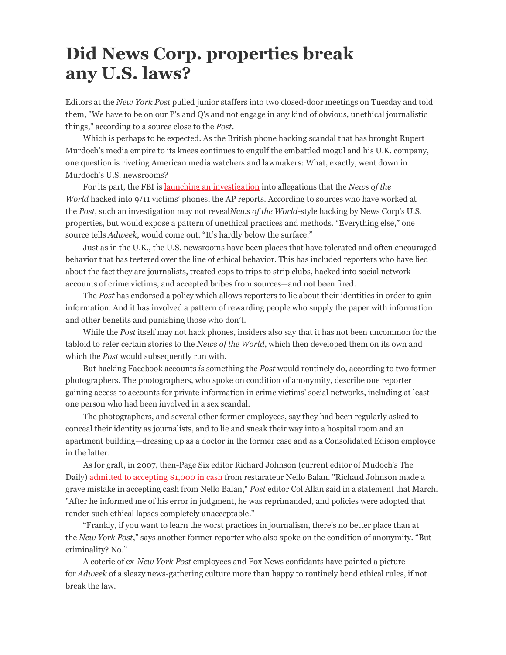## Did News Corp. properties break any U.S. laws?

Editors at the New York Post pulled junior staffers into two closed-door meetings on Tuesday and told them, "We have to be on our P's and Q's and not engage in any kind of obvious, unethical journalistic things," according to a source close to the Post.

Which is perhaps to be expected. As the British phone hacking scandal that has brought Rupert Murdoch's media empire to its knees continues to engulf the embattled mogul and his U.K. company, one question is riveting American media watchers and lawmakers: What, exactly, went down in Murdoch's U.S. newsrooms?

For its part, the FBI is launching an investigation into allegations that the News of the World hacked into 9/11 victims' phones, the AP reports. According to sources who have worked at the Post, such an investigation may not revealNews of the World-style hacking by News Corp's U.S. properties, but would expose a pattern of unethical practices and methods. "Everything else," one source tells Adweek, would come out. "It's hardly below the surface."

Just as in the U.K., the U.S. newsrooms have been places that have tolerated and often encouraged behavior that has teetered over the line of ethical behavior. This has included reporters who have lied about the fact they are journalists, treated cops to trips to strip clubs, hacked into social network accounts of crime victims, and accepted bribes from sources—and not been fired.

The Post has endorsed a policy which allows reporters to lie about their identities in order to gain information. And it has involved a pattern of rewarding people who supply the paper with information and other benefits and punishing those who don't.

While the Post itself may not hack phones, insiders also say that it has not been uncommon for the tabloid to refer certain stories to the News of the World, which then developed them on its own and which the *Post* would subsequently run with.

But hacking Facebook accounts is something the Post would routinely do, according to two former photographers. The photographers, who spoke on condition of anonymity, describe one reporter gaining access to accounts for private information in crime victims' social networks, including at least one person who had been involved in a sex scandal.

The photographers, and several other former employees, say they had been regularly asked to conceal their identity as journalists, and to lie and sneak their way into a hospital room and an apartment building—dressing up as a doctor in the former case and as a Consolidated Edison employee in the latter.

As for graft, in 2007, then-Page Six editor Richard Johnson (current editor of Mudoch's The Daily) admitted to accepting \$1,000 in cash from restarateur Nello Balan. "Richard Johnson made a grave mistake in accepting cash from Nello Balan," Post editor Col Allan said in a statement that March. "After he informed me of his error in judgment, he was reprimanded, and policies were adopted that render such ethical lapses completely unacceptable."

"Frankly, if you want to learn the worst practices in journalism, there's no better place than at the New York Post," says another former reporter who also spoke on the condition of anonymity. "But criminality? No."

A coterie of ex-New York Post employees and Fox News confidants have painted a picture for Adweek of a sleazy news-gathering culture more than happy to routinely bend ethical rules, if not break the law.